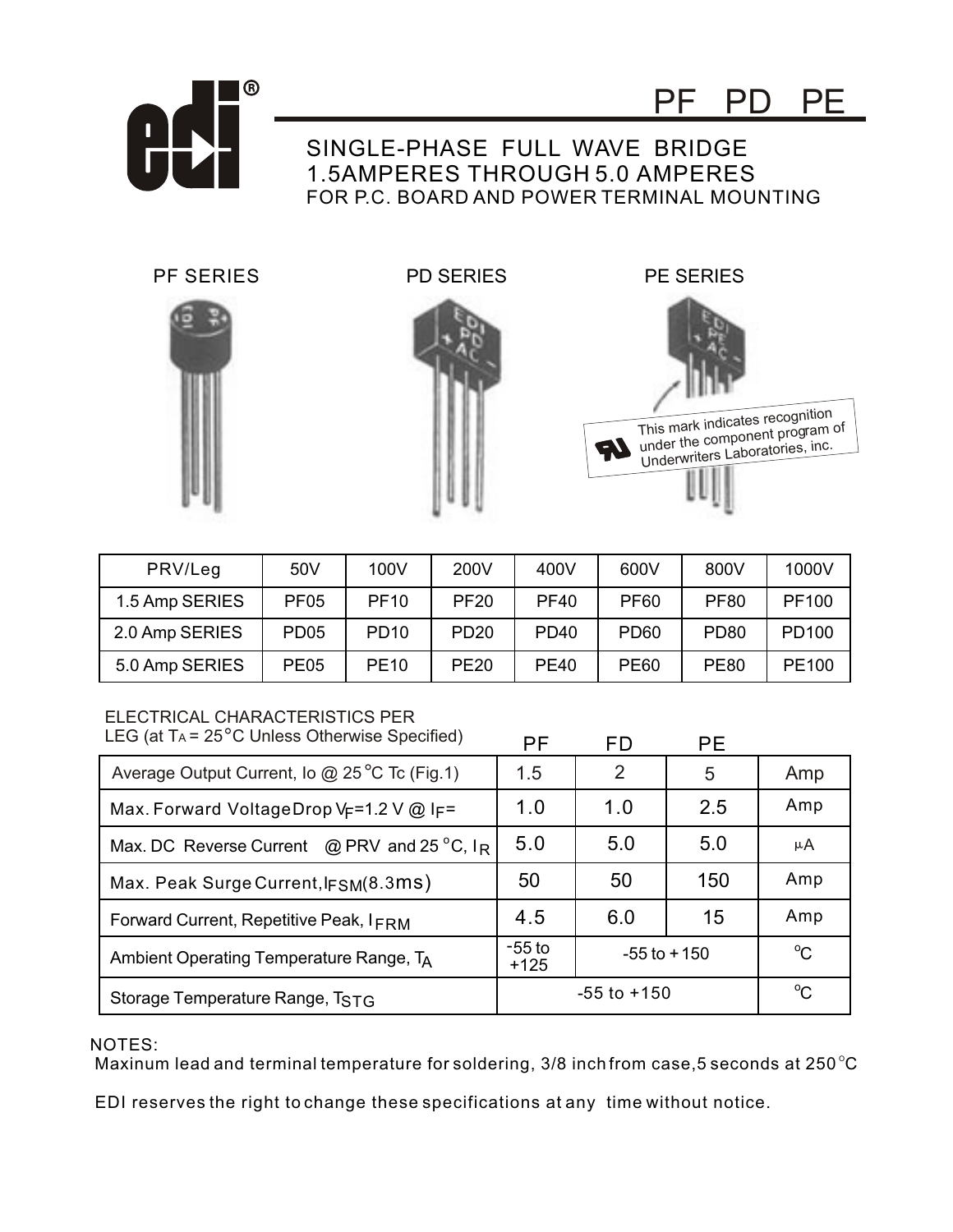

## SINGLE-PHASE FULL WAVE BRIDGE 1.5AMPERES THROUGH 5.0 AMPERES FOR P.C. BOARD AND POWER TERMINAL MOUNTING





PF SERIES PD SERIES PE SERIES

PF PD PE



| PRV/Leg        | 50V              | 100V        | 200V             | 400V             | 600V             | 800V             | 1000V             |
|----------------|------------------|-------------|------------------|------------------|------------------|------------------|-------------------|
| 1.5 Amp SERIES | PF <sub>05</sub> | <b>PF10</b> | <b>PF20</b>      | <b>PF40</b>      | <b>PF60</b>      | <b>PF80</b>      | PF100             |
| 2.0 Amp SERIES | PD <sub>05</sub> | <b>PD10</b> | <b>PD20</b>      | <b>PD40</b>      | PD <sub>60</sub> | PD <sub>80</sub> | PD <sub>100</sub> |
| 5.0 Amp SERIES | <b>PE05</b>      | <b>PE10</b> | PE <sub>20</sub> | PF <sub>40</sub> | <b>PE60</b>      | <b>PE80</b>      | PE <sub>100</sub> |

## ELECTRICAL CHARACTERISTICS PER

| LEG (at $Ta = 25^{\circ}C$ Unless Otherwise Specified) | <b>PF</b>          | FD              | <b>PE</b> |             |
|--------------------------------------------------------|--------------------|-----------------|-----------|-------------|
| Average Output Current, Io @ 25 °C Tc (Fig.1)          | 1.5                | 2               | 5         | Amp         |
| Max. Forward VoltageDrop V <sub>F</sub> =1.2 V @ IF=   | 1.0                | 1.0             | 2.5       | Amp         |
| Max. DC Reverse Current $\omega$ PRV and 25 °C, $I_R$  | 5.0                | 5.0             | 5.0       | μA          |
| Max. Peak Surge Current, IFSM(8.3MS)                   | 50                 | 50              | 150       | Amp         |
| Forward Current, Repetitive Peak, IFRM                 | 4.5                | 6.0             | 15        | Amp         |
| Ambient Operating Temperature Range, TA                | $-55$ to<br>$+125$ | $-55$ to $+150$ |           | $^{\circ}C$ |
| Storage Temperature Range, TSTG                        | $-55$ to $+150$    | $^{\circ}C$     |           |             |

NOTES:

Maxinum lead and terminal temperature for soldering,  $3/8$  inch from case, 5 seconds at  $250^{\circ}$ C

EDI reserves the right to change these specifications at any time without notice.